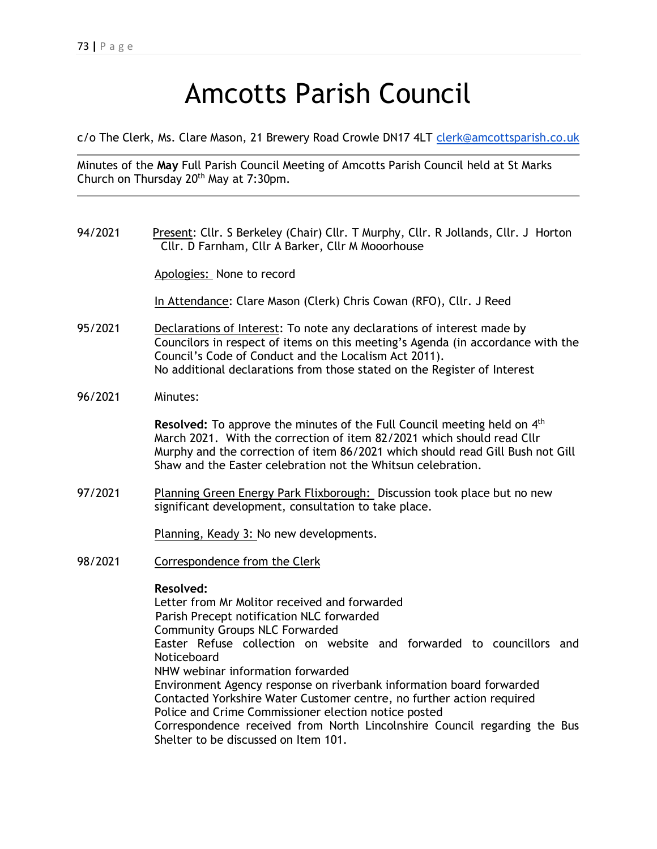# Amcotts Parish Council

c/o The Clerk, Ms. Clare Mason, 21 Brewery Road Crowle DN17 4LT [clerk@amcottsparish.co.uk](mailto:clerk@amcottsparish.co.uk)

Minutes of the **May** Full Parish Council Meeting of Amcotts Parish Council held at St Marks Church on Thursday 20<sup>th</sup> May at 7:30pm.

94/2021 Present: Cllr. S Berkeley (Chair) Cllr. T Murphy, Cllr. R Jollands, Cllr. J Horton Cllr. D Farnham, Cllr A Barker, Cllr M Mooorhouse

Apologies: None to record

In Attendance: Clare Mason (Clerk) Chris Cowan (RFO), Cllr. J Reed

- 95/2021 Declarations of Interest: To note any declarations of interest made by Councilors in respect of items on this meeting's Agenda (in accordance with the Council's Code of Conduct and the Localism Act 2011). No additional declarations from those stated on the Register of Interest
- 96/2021 Minutes:

Resolved: To approve the minutes of the Full Council meeting held on 4<sup>th</sup> March 2021. With the correction of item 82/2021 which should read Cllr Murphy and the correction of item 86/2021 which should read Gill Bush not Gill Shaw and the Easter celebration not the Whitsun celebration.

97/2021 Planning Green Energy Park Flixborough: Discussion took place but no new significant development, consultation to take place.

Planning, Keady 3: No new developments.

98/2021 Correspondence from the Clerk

### **Resolved:**

Letter from Mr Molitor received and forwarded Parish Precept notification NLC forwarded Community Groups NLC Forwarded Easter Refuse collection on website and forwarded to councillors and Noticeboard NHW webinar information forwarded Environment Agency response on riverbank information board forwarded Contacted Yorkshire Water Customer centre, no further action required Police and Crime Commissioner election notice posted Correspondence received from North Lincolnshire Council regarding the Bus Shelter to be discussed on Item 101.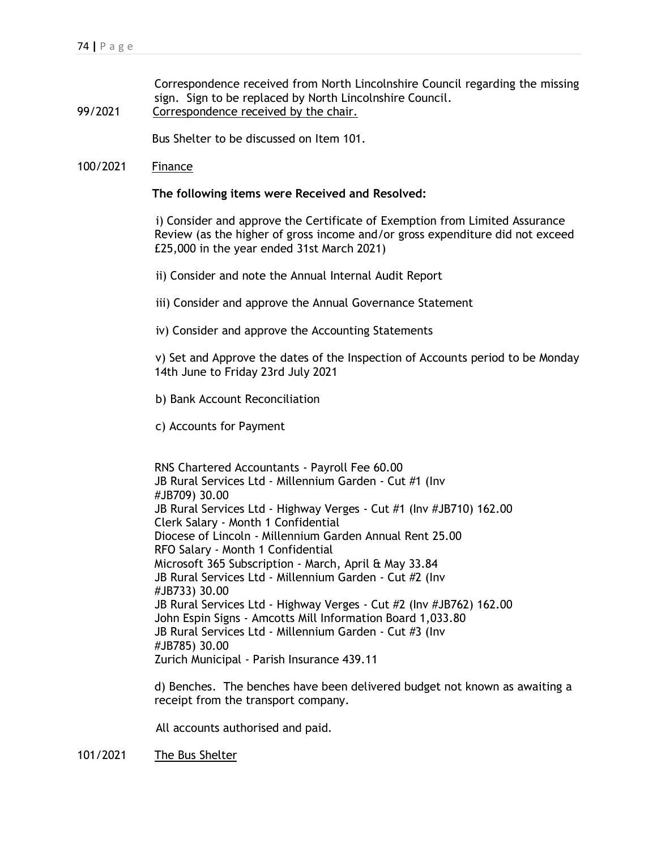Correspondence received from North Lincolnshire Council regarding the missing sign. Sign to be replaced by North Lincolnshire Council.

99/2021 Correspondence received by the chair.

Bus Shelter to be discussed on Item 101.

100/2021 Finance

#### **The following items were Received and Resolved:**

 i) Consider and approve the Certificate of Exemption from Limited Assurance Review (as the higher of gross income and/or gross expenditure did not exceed £25,000 in the year ended 31st March 2021)

- ii) Consider and note the Annual Internal Audit Report
- iii) Consider and approve the Annual Governance Statement
- iv) Consider and approve the Accounting Statements

 v) Set and Approve the dates of the Inspection of Accounts period to be Monday 14th June to Friday 23rd July 2021

b) Bank Account Reconciliation

c) Accounts for Payment

RNS Chartered Accountants - Payroll Fee 60.00 JB Rural Services Ltd - Millennium Garden - Cut #1 (Inv #JB709) 30.00 JB Rural Services Ltd - Highway Verges - Cut #1 (Inv #JB710) 162.00 Clerk Salary - Month 1 Confidential Diocese of Lincoln - Millennium Garden Annual Rent 25.00 RFO Salary - Month 1 Confidential Microsoft 365 Subscription - March, April & May 33.84 JB Rural Services Ltd - Millennium Garden - Cut #2 (Inv #JB733) 30.00 JB Rural Services Ltd - Highway Verges - Cut #2 (Inv #JB762) 162.00 John Espin Signs - Amcotts Mill Information Board 1,033.80 JB Rural Services Ltd - Millennium Garden - Cut #3 (Inv #JB785) 30.00 Zurich Municipal - Parish Insurance 439.11

d) Benches. The benches have been delivered budget not known as awaiting a receipt from the transport company.

All accounts authorised and paid.

101/2021 The Bus Shelter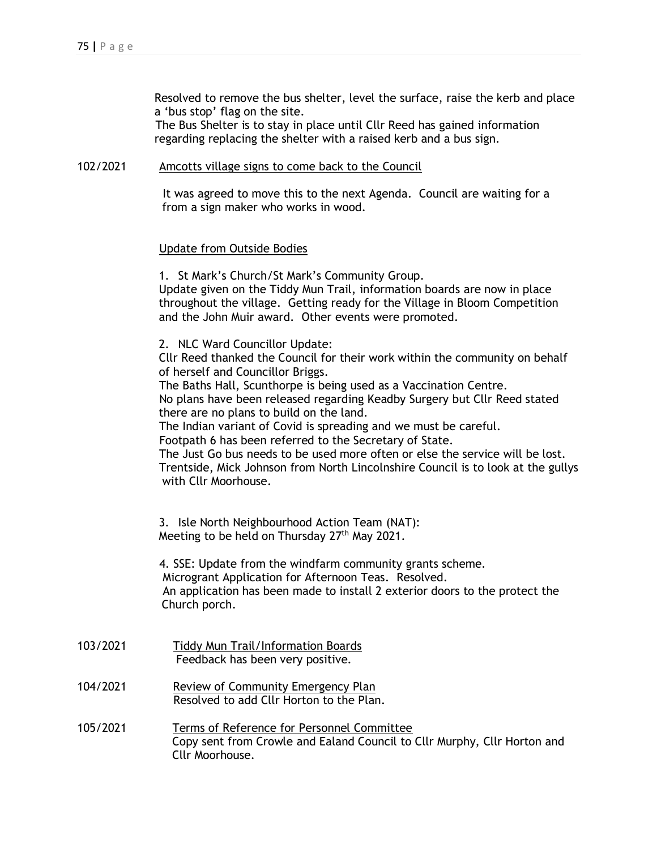Resolved to remove the bus shelter, level the surface, raise the kerb and place a 'bus stop' flag on the site.

 The Bus Shelter is to stay in place until Cllr Reed has gained information regarding replacing the shelter with a raised kerb and a bus sign.

## 102/2021 Amcotts village signs to come back to the Council

 It was agreed to move this to the next Agenda. Council are waiting for a from a sign maker who works in wood.

#### Update from Outside Bodies

1. St Mark's Church/St Mark's Community Group. Update given on the Tiddy Mun Trail, information boards are now in place

throughout the village. Getting ready for the Village in Bloom Competition and the John Muir award. Other events were promoted.

2. NLC Ward Councillor Update:

Cllr Reed thanked the Council for their work within the community on behalf of herself and Councillor Briggs.

The Baths Hall, Scunthorpe is being used as a Vaccination Centre.

 No plans have been released regarding Keadby Surgery but Cllr Reed stated there are no plans to build on the land.

The Indian variant of Covid is spreading and we must be careful.

Footpath 6 has been referred to the Secretary of State.

 The Just Go bus needs to be used more often or else the service will be lost. Trentside, Mick Johnson from North Lincolnshire Council is to look at the gullys with Cllr Moorhouse.

3. Isle North Neighbourhood Action Team (NAT): Meeting to be held on Thursday 27<sup>th</sup> May 2021.

 4. SSE: Update from the windfarm community grants scheme. Microgrant Application for Afternoon Teas. Resolved. An application has been made to install 2 exterior doors to the protect the Church porch.

- 103/2021 Tiddy Mun Trail/Information Boards Feedback has been very positive.
- 104/2021 Review of Community Emergency Plan Resolved to add Cllr Horton to the Plan.
- 105/2021 Terms of Reference for Personnel Committee Copy sent from Crowle and Ealand Council to Cllr Murphy, Cllr Horton and Cllr Moorhouse.